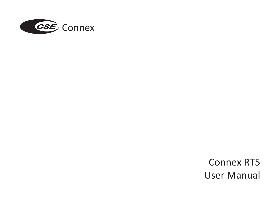

Connex RT5 User Manual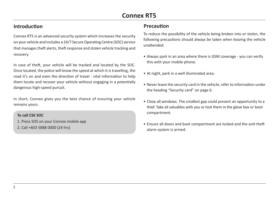### **Introduction**

Connex RT5 is an advanced security system which increases the security on your vehicle and includes a 24/7 Secure Operating Centre (SOC) service that manages theft alerts, theft response and stolen vehicle tracking and recovery.

In case of theft, your vehicle will be tracked and located by the SOC. Once located, the police will know the speed at which it is travelling, the road it's on and even the direction of travel - vital information to help them locate and recover your vehicle without engaging in a potentially dangerous high-speed pursuit.

In short, Connex gives you the best chance of ensuring your vehicle remains yours.

#### **To call CSE SOC**

- 1. Press SOS on your Connex mobile app
- 2. Call +603 5888 0000 (24 hrs)

### **Precaution**

To reduce the possibility of the vehicle being broken into or stolen, the following precautions should always be taken when leaving the vehicle unattended.

- Always park in an area where there is GSM coverage you can verify this with your mobile phone.
- At night, park in a well illuminated area.
- Never leave the security card in the vehicle, refer to information under the heading "Security card" on page 6.
- Close all windows. The smallest gap could present an opportunity to a thief. Take all valuables with you or lock them in the glove box or boot compartment.
- Ensure all doors and boot compartment are locked and the anti-theft alarm system is armed.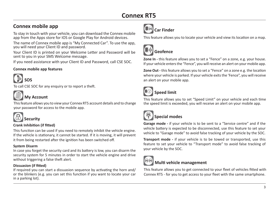# **Connex mobile app**<br> **Car Finder**

To stay in touch with your vehicle, you can download the Connex mobile app from the Apps store for IOS or Google Play for Android devices.

The name of Connex mobile app is "My Connected Car". To use the app, you will need your Client ID and password.

Your Client ID is printed on your Welcome Letter and Password will be sent to you in your SMS Welcome message.

If you need assistance with your Client ID and Password, call CSE SOC.

#### **Connex mobile app features**



To call CSE SOC for any enquiry or to report a theft.



#### **My Account**

This feature allows you to view your Connex RT5 account details and to change your password for access to the mobile app.



# **Security**

#### **Crank Inhibition (if fitted)**

This function can be used if you need to remotely inhibit the vehicle engine. If the vehicle is stationary, it cannot be started. If it is moving, it will prevent it from being restarted after the ignition has been switched off.

#### **System Disarm**

In case you forget the security card and its battery is low, you can disarm the security system for 5 minutes in order to start the vehicle engine and drive without triggering a false theft alert.

#### **Dissuasion (if fitted)**

If required you can start a dissuasion sequence by activating the horn and/ or the blinkers (e.g. you can set this function if you want to locate your car in a parking lot).



This feature allows you to locate your vehicle and view its location on a map.



## **Geofence**

**Zone In -** this feature allows you to set a "Fence" on a zone, e.g. your house. If your vehicle enters the "Fence", you will receive an alert on your mobile app.

**Zone Out -** this feature allows you to set a "Fence" on a zone e.g. the location where your vehicle is parked. If your vehicle exits the 'Fence", you will receive an alert on your mobile app.



## **Speed limit**

This feature allows you to set "Speed Limit" on your vehicle and each time the speed limit is exceeded, you will receive an alert on your mobile app.



## **Special modes**

**Garage mode -** if your vehicle is to be sent to a "Service centre" and if the vehicle battery is expected to be disconnected, use this feature to set your vehicle to "Garage mode" to avoid false tracking of your vehicle by the SOC.

**Transport mode -** if your vehicle is to be towed or transported, use this feature to set your vehicle to "Transport mode" to avoid false tracking of your vehicle by the SOC.



### **Multi vehicle management**

This feature allows you to get connected to your fleet of vehicles fitted with Connex RT5 - for you to get access to your fleet with the same smartphone.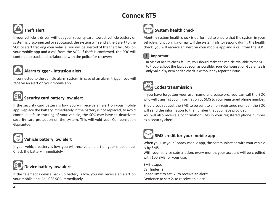# **Theft alert**

If your vehicle is driven without your security card, towed, vehicle battery or system is disconnected or sabotaged, the system will send a theft alert to the SOC to start tracking your vehicle. You will be alerted of the theft by SMS, on your mobile app and a call from the SOC. If theft is confirmed, the SOC will continue to track and collaborate with the police for recovery

### **Alarm trigger - Intrusion alert**

If connected to the vehicle alarm system, in case of an alarm trigger, you will receive an alert on your mobile app.



## **Security card battery low alert**

If the security card battery is low, you will receive an alert on your mobile app. Replace the battery immediately. If the battery is not replaced, to avoid continuous false tracking of your vehicle, the SOC may have to deactivate security card protection on the system. This will void your Compensation Guarantee.



## **Vehicle battery low alert**

If your vehicle battery is low, you will receive an alert on your mobile app. Check the battery immediately.

## **Device battery low alert**

If the telematics device back up battery is low, you will receive an alert on your mobile app. Call CSE SOC immediately.



Monthly system health check is performed to ensure that the system in your vehicle is functioning normally. If the system fails to respond during the health check, you will receive an alert on your mobile app and a call from the SOC.

## *i* **Important**

In case of health check failure, you should make the vehicle available to the SOC to troubleshoot the fault as soon as possible. Your Compensation Guarantee is only valid if system health check is without any reported issue.



## **Codes transmission**

If you have forgotten your user name and password, you can call the SOC who will transmit your information by SMS to your registered phone number.

Should you request the SMS to be sent to a non-registered number, the SOC will send the information to the number that you have provided. You will also receive a confirmation SMS in your registered phone number as a security check.



## **SMS credit for your mobile app**

When you use your Connex mobile app, the communication with your vehicle is by SMS.

With your service subscription, every month, your account will be credited with 100 SMS for your use.

SMS usage: Car finder: 2 Speed limit to set: 2, to receive an alert: 1 Geofence to set: 2, to receive an alert: 1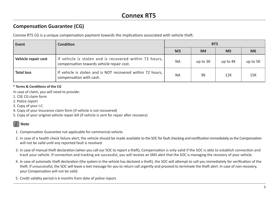## **Compensation Guarantee (CG)**

Connex RT5 CG is a unique compensation payment towards the implications associated with vehicle theft.

| Event               | <b>Condition</b>                                                                                    | RT <sub>5</sub> |          |                |                |
|---------------------|-----------------------------------------------------------------------------------------------------|-----------------|----------|----------------|----------------|
|                     |                                                                                                     | M <sub>3</sub>  | M4       | M <sub>5</sub> | M <sub>6</sub> |
| Vehicle repair cost | If vehicle is stolen and is recovered within 72 hours,<br>compensation towards vehicle repair cost. | <b>NA</b>       | up to 3K | up to 4K       | up to 5K       |
| <b>Total loss</b>   | If vehicle is stolen and is NOT recovered within 72 hours,<br>compensation with cash.               | <b>NA</b>       | 9K       | 12K            | 15K            |

#### **\* Terms & Conditions of the CG**

In case of claim, you will need to provide:

- 1. CSE CG claim form
- 2. Police report
- 3. Copy of your I.C.
- 4. Copy of your Insurance claim form (if vehicle is not recovered)
- 5. Copy of your original vehicle repair bill (if vehicle is sent for repair after recovery)

## *i* **Note**

- 1. Compensation Guarantee not applicable for commercial vehicle.
- 2. In case of a health check failure alert, the vehicle should be made available to the SOC for fault checking and rectification immediately as the Compensation will not be valid until any reported fault is resolved.
- 3. In case of manual theft declaration (when you call our SOC to report a theft), Compensation is only valid if the SOC is able to establish connection and track your vehicle. If connection and tracking are successful, you will receive an SMS alert that the SOC is managing the recovery of your vehicle.
- 4. In case of automatic theft declaration (the system in the vehicle has declared a theft), the SOC will attempt to call you immediately for verification of the theft. If unsuccessful, the SOC will leave a text message for you to return call urgently and proceed to terminate the theft alert. In case of non-recovery, your Compensation will not be valid.
- 5. Credit validity period is 6 months from date of police report.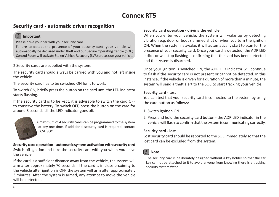## **Security card - automatic driver recognition**

#### *i* **Important**

Please drive your car with your security card.

Failure to detect the presence of your security card, your vehicle will automatically be declared under theft and our Secure Operating Centre (SOC) Control Room will activate Stolen Vehicle Recovery (SVR) process on your vehicle.

2 Security cards are supplied with the system.

The security card should always be carried with you and not left inside the vehicle.

The security card has to be switched ON for it to work.

To switch ON, briefly press the button on the card until the LED indicator starts flashing.

If the security card is to be kept, it is advisable to switch the card OFF to conserve the battery. To switch OFF, press the button on the card for around 8 seconds till the LED indicator goes off.



A maximum of 4 security cards can be programmed to the system at any one time. If additional security card is required, contact CSE SOC.

#### **Security card operation - automatic system activation with security card**

Switch off ignition and take the security card with you when you leave the vehicle.

If the card is a sufficient distance away from the vehicle, the system will arm after approximately 70 seconds. If the card is in close proximity to the vehicle after ignition is OFF, the system will arm after approximately 3 minutes. After the system is armed, any attempt to move the vehicle will be detected.

#### **Security card operation - driving the vehicle**

When you enter your vehicle, the system will wake up by detecting vibration e.g. door or boot slammed shut or when you turn the ignition ON. When the system is awake, it will automatically start to scan for the presence of your security card. Once your card is detected, the ADR LED indicator will stop flashing - confirming that the card has been detected and the system is disarmed.

Once your ignition is switched ON, the ADR LED indicator will continue to flash if the security card is not present or cannot be detected. In this instance, if the vehicle is driven for a duration of more than a minute, the system will send a theft alert to the SOC to start tracking your vehicle.

#### **Security card - test**

You can test that your security card is connected to the system by using the card button as follows:

- 1. Switch ignition ON.
- 2. Press and hold the security card button the ADR LED indicator in the vehicle will flash to confirm that the system is communicating correctly.

#### **Security card - lost**

Lost security card should be reported to the SOC immediately so that the lost card can be excluded from the system.

#### *i* **Note**

The security card is deliberately designed without a key holder so that the car key cannot be attached to it to avoid anyone from knowing there is a tracking security system fitted.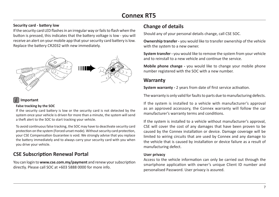#### **Change of details Security card - battery low**

If the security card LED flashes in an irregular way or fails to flash when the button is pressed, this indicates that the battery voltage is low - you will receive an alert on your mobile app that your security card battery is low. Replace the battery CR2032 with new immediately.



### *i* **Important**

#### **False tracking by the SOC**

If the security card battery is low or the security card is not detected by the system once your vehicle is driven for more than a minute, the system will send a theft alert to the SOC to start tracking your vehicle.

To avoid continuous false tracking, the SOC may have to deactivate security card protection on the system (Forced unset mode). Without security card protection, your CSE Compensation Guarantee is void. We strongly advise that you replace the battery immediately and to always carry your security card with you when you drive your vehicle.

## **CSE Subscription Renewal Portal**

You can login to **www.cse.com.my/payment** and renew your subscription directly. Please call SOC at +603 5888 0000 for more info.

Should any of your personal details change, call CSE SOC.

**Ownership transfer -** you would like to transfer ownership of the vehicle with the system to a new owner.

**System transfer -** you would like to remove the system from your vehicle and to reinstall to a new vehicle and continue the service.

**Mobile phone change -** you would like to change your mobile phone number registered with the SOC with a new number.

## **Warranty**

**System warranty -** 2 years from date of first service activation.

The warranty is only valid for faults to parts due to manufacturing defects.

If the system is installed to a vehicle with manufacturer's approval as an approved accessory, the Connex warranty will follow the car manufacturer's warranty terms and conditions.

If the system is installed to a vehicle without manufacturer's approval, CSE will cover the cost of any damages that have been proven to be caused by the Connex installation or device. Damage coverage will be limited to wiring circuits that are used by Connex and any damage to the vehicle that is caused by installation or device failure as a result of manufacturing defect.

#### **User privacy**

Access to the vehicle information can only be carried out through the smartphone application with owner's unique Client ID number and personalised Password. User privacy is assured.